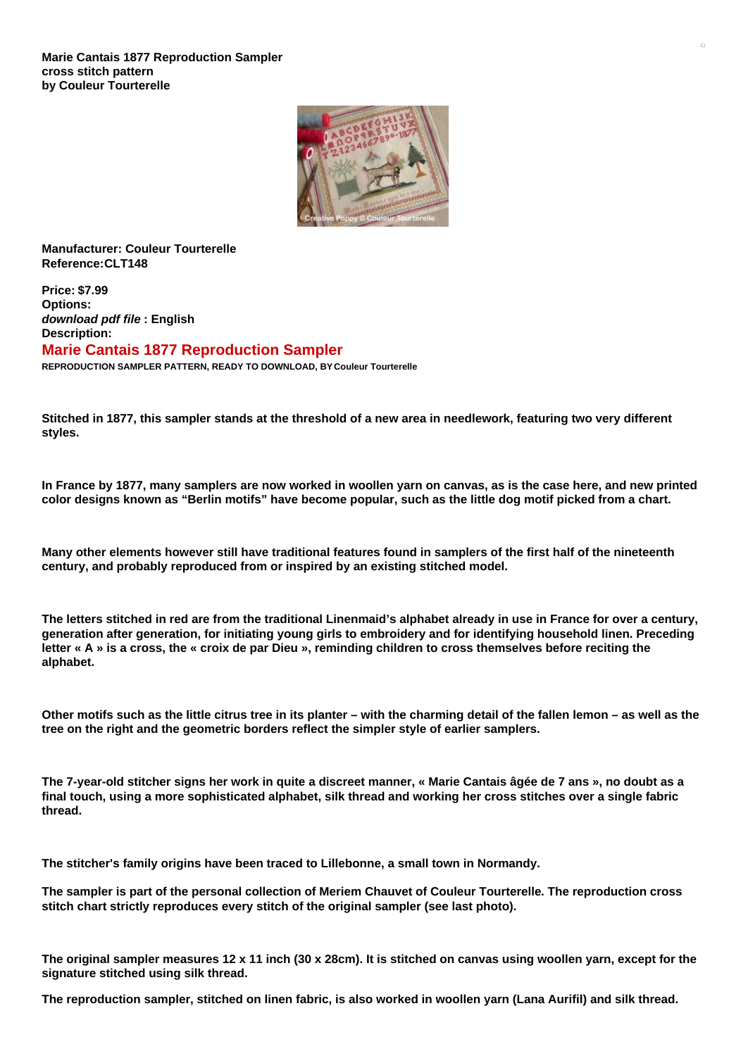

**Manufacturer: Couleur Tourterelle Reference:CLT148**

**Price: \$7.99 Options:** *download pdf file* **: English Description: Marie Cantais 1877 Reproduction Sampler REPRODUCTION SAMPLER PATTERN, READY TO DOWNLOAD, BY Couleur Tourterelle**

Stitched in 1877, this sampler stands at the threshold of a new area in needlework, featuring two very different **styles.**

In France by 1877, many samplers are now worked in woollen yarn on canvas, as is the case here, and new printed color designs known as "Berlin motifs" have become popular, such as the little dog motif picked from a chart.

Many other elements however still have traditional features found in samplers of the first half of the nineteenth **century, and probably reproduced from or inspired by an existing stitched model.**

The letters stitched in red are from the traditional Linenmaid's alphabet already in use in France for over a century, **generation after generation, for initiating young girls to embroidery and for identifying household linen. Preceding** letter « A » is a cross, the « croix de par Dieu », reminding children to cross themselves before reciting the **alphabet.**

Other motifs such as the little citrus tree in its planter – with the charming detail of the fallen lemon – as well as the **tree on the right and the geometric borders reflect the simpler style of earlier samplers.**

The 7-year-old stitcher signs her work in quite a discreet manner, « Marie Cantais âgée de 7 ans », no doubt as a final touch, using a more sophisticated alphabet, silk thread and working her cross stitches over a single fabric **thread.**

**The stitcher's family origins have been traced to Lillebonne, a small town in Normandy.**

The sampler is part of the personal collection of Meriem Chauvet of Couleur Tourterelle. The reproduction cross **stitch chart strictly reproduces every stitch of the original sampler (see last photo).**

The original sampler measures  $12 \times 11$  inch (30 x 28cm). It is stitched on canvas using woollen yarn, except for the **signature stitched using silk thread.**

The reproduction sampler, stitched on linen fabric, is also worked in woollen yarn (Lana Aurifil) and silk thread.